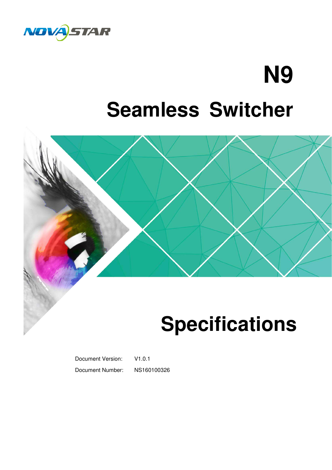

## **N9 Seamless Switcher**



### **Specifications**

Document Version: V1.0.1 Document Number: NS160100326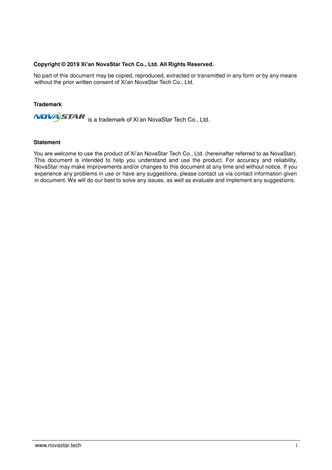### **Copyright © 2019 Xi'an NovaStar Tech Co., Ltd. All Rights Reserved.**

No part of this document may be copied, reproduced, extracted or transmitted in any form or by any means without the prior written consent of Xi'an NovaStar Tech Co., Ltd.

### **Trademark**

**NOVA**STAR is a trademark of Xi'an NovaStar Tech Co., Ltd.

#### **Statement**

You are welcome to use the product of Xi'an NovaStar Tech Co., Ltd. (hereinafter referred to as NovaStar). This document is intended to help you understand and use the product. For accuracy and reliability, NovaStar may make improvements and/or changes to this document at any time and without notice. If you experience any problems in use or have any suggestions, please contact us via contact information given in document. We will do our best to solve any issues, as well as evaluate and implement any suggestions.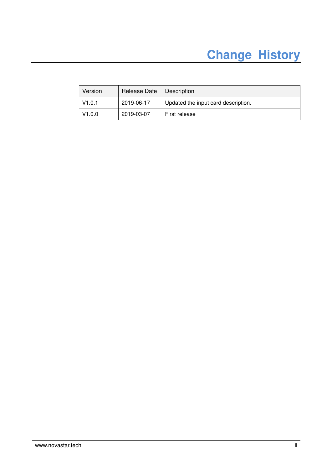### **Change History**

| Version | Release Date | Description                         |
|---------|--------------|-------------------------------------|
| V1.0.1  | 2019-06-17   | Updated the input card description. |
| V1.0.0  | 2019-03-07   | First release                       |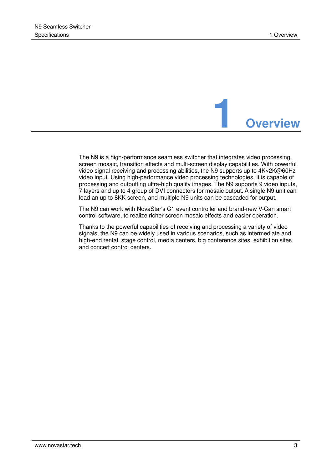

The N9 is a high-performance seamless switcher that integrates video processing, screen mosaic, transition effects and multi-screen display capabilities. With powerful video signal receiving and processing abilities, the N9 supports up to 4K×2K@60Hz video input. Using high-performance video processing technologies, it is capable of processing and outputting ultra-high quality images. The N9 supports 9 video inputs, 7 layers and up to 4 group of DVI connectors for mosaic output. A single N9 unit can load an up to 8KK screen, and multiple N9 units can be cascaded for output.

The N9 can work with NovaStar's C1 event controller and brand-new V-Can smart control software, to realize richer screen mosaic effects and easier operation.

Thanks to the powerful capabilities of receiving and processing a variety of video signals, the N9 can be widely used in various scenarios, such as intermediate and high-end rental, stage control, media centers, big conference sites, exhibition sites and concert control centers.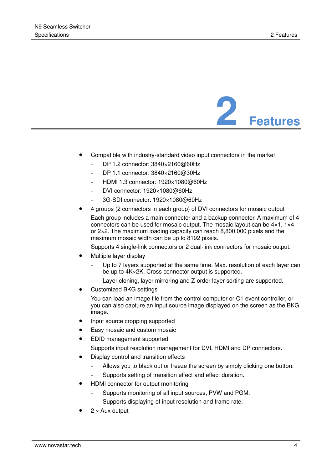

- Compatible with industry-standard video input connectors in the market
	- − DP 1.2 connector: 3840×2160@60Hz
	- − DP 1.1 connector: 3840×2160@30Hz
	- − HDMI 1.3 connector: 1920×1080@60Hz
	- − DVI connector: 1920×1080@60Hz
	- − 3G-SDI connector: 1920×1080@60Hz
- 4 groups (2 connectors in each group) of DVI connectors for mosaic output Each group includes a main connector and a backup connector. A maximum of 4 connectors can be used for mosaic output. The mosaic layout can be 4×1, 1×4 or 2×2. The maximum loading capacity can reach 8,800,000 pixels and the maximum mosaic width can be up to 8192 pixels.

Supports 4 single-link connectors or 2 dual-link connectors for mosaic output.

- Multiple layer display
	- Up to 7 layers supported at the same time. Max. resolution of each layer can be up to 4K×2K. Cross connector output is supported.
	- Layer cloning, layer mirroring and Z-order layer sorting are supported.
- Customized BKG settings

You can load an image file from the control computer or C1 event controller, or you can also capture an input source image displayed on the screen as the BKG image.

- Input source cropping supported
- Easy mosaic and custom mosaic
- EDID management supported

Supports input resolution management for DVI, HDMI and DP connectors.

- Display control and transition effects
	- Allows you to black out or freeze the screen by simply clicking one button.
	- Supports setting of transition effect and effect duration.
- HDMI connector for output monitoring
	- − Supports monitoring of all input sources, PVW and PGM.
	- Supports displaying of input resolution and frame rate.
- 2 × Aux output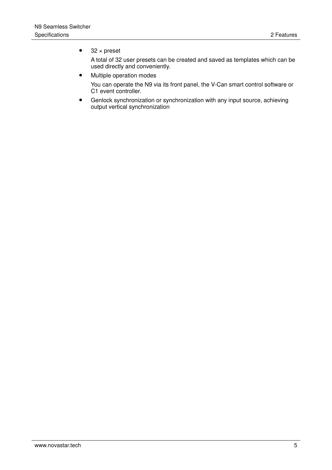### $\bullet$  32 × preset

A total of 32 user presets can be created and saved as templates which can be used directly and conveniently.

- Multiple operation modes You can operate the N9 via its front panel, the V-Can smart control software or C1 event controller.
	- Genlock synchronization or synchronization with any input source, achieving output vertical synchronization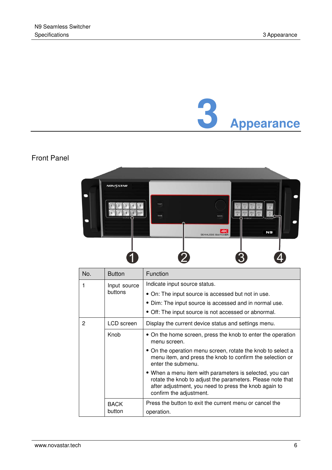## **3 Appearance**

### Front Panel



| No. | <b>Button</b>           | Function                                                                                                                                                                                                  |
|-----|-------------------------|-----------------------------------------------------------------------------------------------------------------------------------------------------------------------------------------------------------|
| 1   | Input source<br>buttons | Indicate input source status.                                                                                                                                                                             |
|     |                         | • On: The input source is accessed but not in use.                                                                                                                                                        |
|     |                         | • Dim: The input source is accessed and in normal use.                                                                                                                                                    |
|     |                         | • Off: The input source is not accessed or abnormal.                                                                                                                                                      |
| 2   | LCD screen              | Display the current device status and settings menu.                                                                                                                                                      |
|     | Knob                    | • On the home screen, press the knob to enter the operation<br>menu screen.                                                                                                                               |
|     |                         | • On the operation menu screen, rotate the knob to select a<br>menu item, and press the knob to confirm the selection or<br>enter the submenu.                                                            |
|     |                         | • When a menu item with parameters is selected, you can<br>rotate the knob to adjust the parameters. Please note that<br>after adjustment, you need to press the knob again to<br>confirm the adjustment. |
|     | <b>BACK</b><br>button   | Press the button to exit the current menu or cancel the                                                                                                                                                   |
|     |                         | operation.                                                                                                                                                                                                |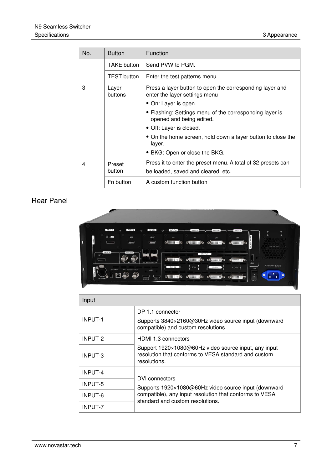| No. | <b>Button</b>      | <b>Function</b>                                                                           |  |
|-----|--------------------|-------------------------------------------------------------------------------------------|--|
|     | <b>TAKE button</b> | Send PVW to PGM.                                                                          |  |
|     | <b>TEST</b> button | Enter the test patterns menu.                                                             |  |
| 3   | Layer<br>buttons   | Press a layer button to open the corresponding layer and<br>enter the layer settings menu |  |
|     |                    | • On: Layer is open.                                                                      |  |
|     |                    | • Flashing: Settings menu of the corresponding layer is<br>opened and being edited.       |  |
|     |                    | • Off: Layer is closed.                                                                   |  |
|     |                    | • On the home screen, hold down a layer button to close the<br>layer.                     |  |
|     |                    | • BKG: Open or close the BKG.                                                             |  |
| 4   | Preset             | Press it to enter the preset menu. A total of 32 presets can                              |  |
|     | button             | be loaded, saved and cleared, etc.                                                        |  |
|     | Fn button          | A custom function button                                                                  |  |

### Rear Panel



| Input          |                                                                                                                              |
|----------------|------------------------------------------------------------------------------------------------------------------------------|
| <b>INPUT-1</b> | DP 1.1 connector<br>Supports 3840×2160@30Hz video source input (downward<br>compatible) and custom resolutions.              |
| INPUT-2        | HDMI 1.3 connectors                                                                                                          |
| INPUT-3        | Support 1920×1080@60Hz video source input, any input<br>resolution that conforms to VESA standard and custom<br>resolutions. |
| <b>INPUT-4</b> | DVI connectors                                                                                                               |
| INPUT-5        | Supports 1920×1080@60Hz video source input (downward                                                                         |
| <b>INPUT-6</b> | compatible), any input resolution that conforms to VESA<br>standard and custom resolutions.                                  |
| <b>INPUT-7</b> |                                                                                                                              |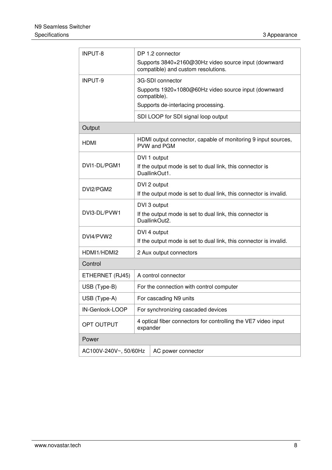| INPUT-8                                     | DP 1.2 connector                                                                            |  |  |
|---------------------------------------------|---------------------------------------------------------------------------------------------|--|--|
|                                             | Supports 3840×2160@30Hz video source input (downward<br>compatible) and custom resolutions. |  |  |
| INPUT-9                                     | 3G-SDI connector                                                                            |  |  |
|                                             | Supports 1920×1080@60Hz video source input (downward<br>compatible).                        |  |  |
|                                             | Supports de-interlacing processing.                                                         |  |  |
|                                             | SDI LOOP for SDI signal loop output                                                         |  |  |
| Output                                      |                                                                                             |  |  |
| <b>HDMI</b>                                 | HDMI output connector, capable of monitoring 9 input sources,<br>PVW and PGM                |  |  |
|                                             | DVI 1 output                                                                                |  |  |
| DVI1-DL/PGM1                                | If the output mode is set to dual link, this connector is<br>DuallinkOut1.                  |  |  |
|                                             | DVI 2 output                                                                                |  |  |
| DVI2/PGM2                                   | If the output mode is set to dual link, this connector is invalid.                          |  |  |
|                                             | DVI 3 output                                                                                |  |  |
| DVI3-DL/PVW1                                | If the output mode is set to dual link, this connector is<br>DuallinkOut2.                  |  |  |
| DVI4/PVW2                                   | DVI 4 output                                                                                |  |  |
|                                             | If the output mode is set to dual link, this connector is invalid.                          |  |  |
| HDMI1/HDMI2                                 | 2 Aux output connectors                                                                     |  |  |
| Control                                     |                                                                                             |  |  |
| ETHERNET (RJ45)                             | A control connector                                                                         |  |  |
| USB (Type-B)                                | For the connection with control computer                                                    |  |  |
| USB (Type-A)                                | For cascading N9 units                                                                      |  |  |
| IN-Genlock-LOOP                             | For synchronizing cascaded devices                                                          |  |  |
| OPT OUTPUT                                  | 4 optical fiber connectors for controlling the VE7 video input<br>expander                  |  |  |
| Power                                       |                                                                                             |  |  |
| AC100V-240V~, 50/60Hz<br>AC power connector |                                                                                             |  |  |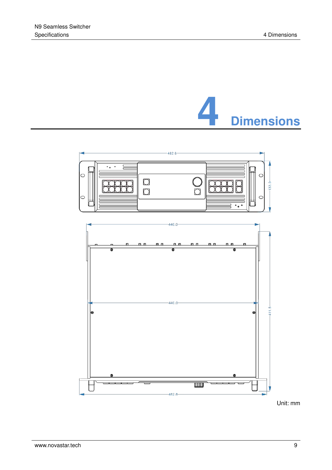



Unit: mm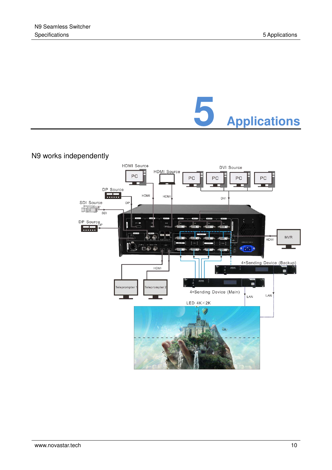

### N9 works independently

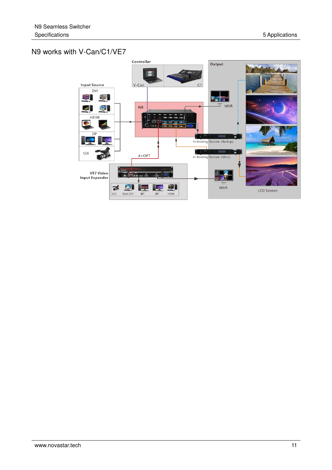### N9 works with V-Can/C1/VE7

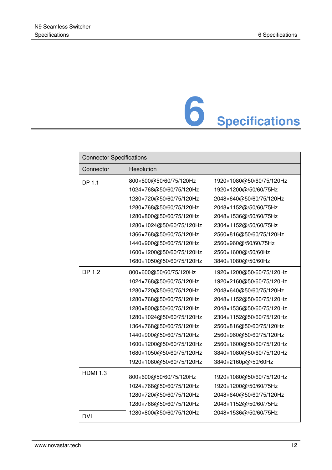# **6 Specifications**

| <b>Connector Specifications</b> |                          |                          |
|---------------------------------|--------------------------|--------------------------|
| Connector                       | Resolution               |                          |
| DP 1.1                          | 800×600@50/60/75/120Hz   | 1920×1080@50/60/75/120Hz |
|                                 | 1024×768@50/60/75/120Hz  | 1920×1200@/50/60/75Hz    |
|                                 | 1280×720@50/60/75/120Hz  | 2048×640@50/60/75/120Hz  |
|                                 | 1280×768@50/60/75/120Hz  | 2048×1152@/50/60/75Hz    |
|                                 | 1280×800@50/60/75/120Hz  | 2048×1536@/50/60/75Hz    |
|                                 | 1280×1024@50/60/75/120Hz | 2304×1152@/50/60/75Hz    |
|                                 | 1366×768@50/60/75/120Hz  | 2560×816@50/60/75/120Hz  |
|                                 | 1440×900@50/60/75/120Hz  | 2560×960@/50/60/75Hz     |
|                                 | 1600×1200@50/60/75/120Hz | 2560×1600@/50/60Hz       |
|                                 | 1680×1050@50/60/75/120Hz | 3840×1080@/50/60Hz       |
| <b>DP 1.2</b>                   | 800×600@50/60/75/120Hz   | 1920×1200@50/60/75/120Hz |
|                                 | 1024×768@50/60/75/120Hz  | 1920×2160@50/60/75/120Hz |
|                                 | 1280×720@50/60/75/120Hz  | 2048×640@50/60/75/120Hz  |
|                                 | 1280×768@50/60/75/120Hz  | 2048×1152@50/60/75/120Hz |
|                                 | 1280×800@50/60/75/120Hz  | 2048×1536@50/60/75/120Hz |
|                                 | 1280×1024@50/60/75/120Hz | 2304×1152@50/60/75/120Hz |
|                                 | 1364×768@50/60/75/120Hz  | 2560×816@50/60/75/120Hz  |
|                                 | 1440×900@50/60/75/120Hz  | 2560×960@50/60/75/120Hz  |
|                                 | 1600×1200@50/60/75/120Hz | 2560×1600@50/60/75/120Hz |
|                                 | 1680×1050@50/60/75/120Hz | 3840×1080@50/60/75/120Hz |
|                                 | 1920×1080@50/60/75/120Hz | 3840×2160p@/50/60Hz      |
| <b>HDMI 1.3</b>                 | 800×600@50/60/75/120Hz   | 1920×1080@50/60/75/120Hz |
|                                 | 1024×768@50/60/75/120Hz  | 1920×1200@/50/60/75Hz    |
|                                 | 1280×720@50/60/75/120Hz  | 2048×640@50/60/75/120Hz  |
|                                 | 1280×768@50/60/75/120Hz  | 2048×1152@/50/60/75Hz    |
|                                 | 1280×800@50/60/75/120Hz  | 2048×1536@/50/60/75Hz    |
| <b>DVI</b>                      |                          |                          |